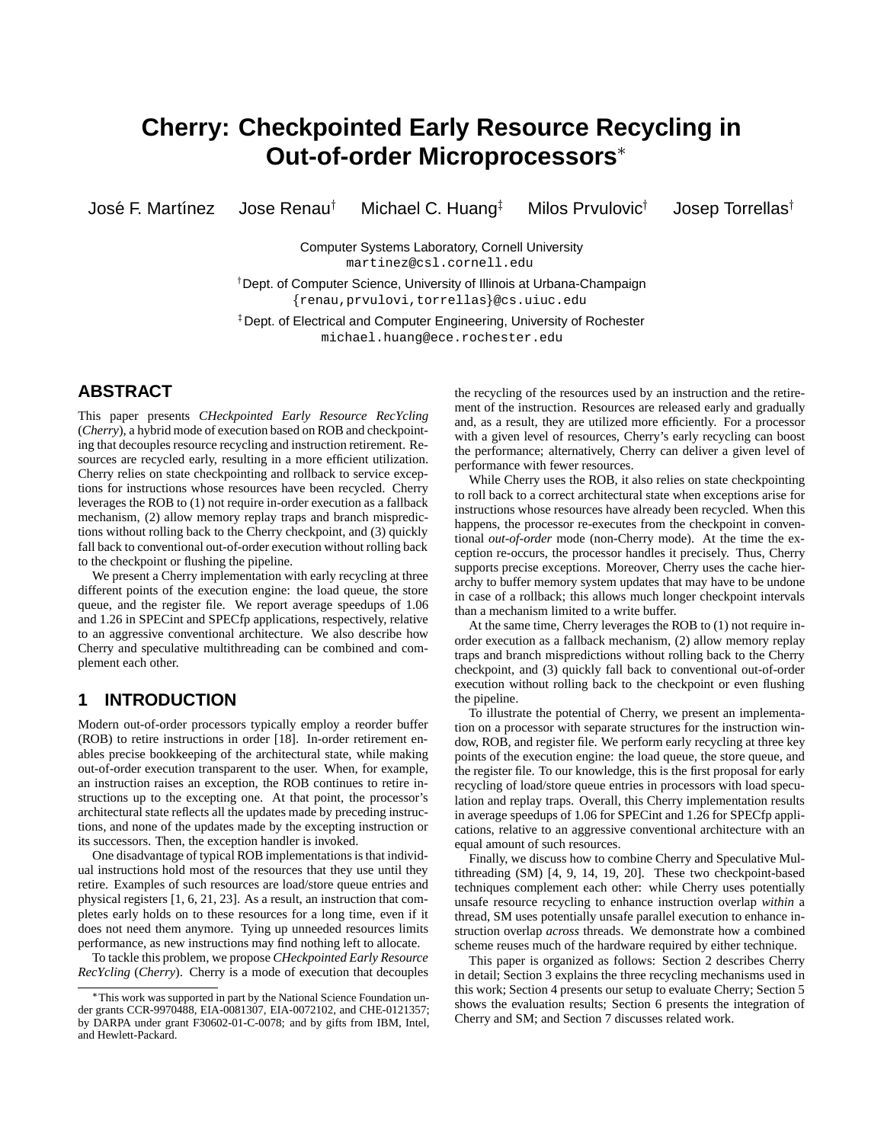# **Cherry: Checkpointed Early Resource Recycling in Out-of-order Microprocessors**

José F. Martínez Jose Renau<sup>†</sup> Michael C. Huang $^{\ddagger}$ Milos Prvulovic<sup>†</sup> Josep Torrellas<sup> $\dagger$ </sup>

> Computer Systems Laboratory, Cornell University martinez@csl.cornell.edu

<sup>†</sup> Dept. of Computer Science, University of Illinois at Urbana-Champaign frenau,prvulovi,torrellasg@cs.uiuc.edu

<sup>‡</sup> Dept. of Electrical and Computer Engineering, University of Rochester michael.huang@ece.rochester.edu

# **ABSTRACT**

This paper presents *CHeckpointed Early Resource RecYcling* (*Cherry*), a hybrid mode of execution based on ROB and checkpointing that decouples resource recycling and instruction retirement. Resources are recycled early, resulting in a more efficient utilization. Cherry relies on state checkpointing and rollback to service exceptions for instructions whose resources have been recycled. Cherry leverages the ROB to (1) not require in-order execution as a fallback mechanism, (2) allow memory replay traps and branch mispredictions without rolling back to the Cherry checkpoint, and (3) quickly fall back to conventional out-of-order execution without rolling back to the checkpoint or flushing the pipeline.

We present a Cherry implementation with early recycling at three different points of the execution engine: the load queue, the store queue, and the register file. We report average speedups of 1.06 and 1.26 in SPECint and SPECfp applications, respectively, relative to an aggressive conventional architecture. We also describe how Cherry and speculative multithreading can be combined and complement each other.

### **1 INTRODUCTION**

Modern out-of-order processors typically employ a reorder buffer (ROB) to retire instructions in order [18]. In-order retirement enables precise bookkeeping of the architectural state, while making out-of-order execution transparent to the user. When, for example, an instruction raises an exception, the ROB continues to retire instructions up to the excepting one. At that point, the processor's architectural state reflects all the updates made by preceding instructions, and none of the updates made by the excepting instruction or its successors. Then, the exception handler is invoked.

One disadvantage of typical ROB implementations is that individual instructions hold most of the resources that they use until they retire. Examples of such resources are load/store queue entries and physical registers [1, 6, 21, 23]. As a result, an instruction that completes early holds on to these resources for a long time, even if it does not need them anymore. Tying up unneeded resources limits performance, as new instructions may find nothing left to allocate.

To tackle this problem, we propose *CHeckpointed Early Resource RecYcling* (*Cherry*). Cherry is a mode of execution that decouples the recycling of the resources used by an instruction and the retirement of the instruction. Resources are released early and gradually and, as a result, they are utilized more efficiently. For a processor with a given level of resources, Cherry's early recycling can boost the performance; alternatively, Cherry can deliver a given level of performance with fewer resources.

While Cherry uses the ROB, it also relies on state checkpointing to roll back to a correct architectural state when exceptions arise for instructions whose resources have already been recycled. When this happens, the processor re-executes from the checkpoint in conventional *out-of-order* mode (non-Cherry mode). At the time the exception re-occurs, the processor handles it precisely. Thus, Cherry supports precise exceptions. Moreover, Cherry uses the cache hierarchy to buffer memory system updates that may have to be undone in case of a rollback; this allows much longer checkpoint intervals than a mechanism limited to a write buffer.

At the same time, Cherry leverages the ROB to (1) not require inorder execution as a fallback mechanism, (2) allow memory replay traps and branch mispredictions without rolling back to the Cherry checkpoint, and (3) quickly fall back to conventional out-of-order execution without rolling back to the checkpoint or even flushing the pipeline.

To illustrate the potential of Cherry, we present an implementation on a processor with separate structures for the instruction window, ROB, and register file. We perform early recycling at three key points of the execution engine: the load queue, the store queue, and the register file. To our knowledge, this is the first proposal for early recycling of load/store queue entries in processors with load speculation and replay traps. Overall, this Cherry implementation results in average speedups of 1.06 for SPECint and 1.26 for SPECfp applications, relative to an aggressive conventional architecture with an equal amount of such resources.

Finally, we discuss how to combine Cherry and Speculative Multithreading (SM) [4, 9, 14, 19, 20]. These two checkpoint-based techniques complement each other: while Cherry uses potentially unsafe resource recycling to enhance instruction overlap *within* a thread, SM uses potentially unsafe parallel execution to enhance instruction overlap *across* threads. We demonstrate how a combined scheme reuses much of the hardware required by either technique.

This paper is organized as follows: Section 2 describes Cherry in detail; Section 3 explains the three recycling mechanisms used in this work; Section 4 presents our setup to evaluate Cherry; Section 5 shows the evaluation results; Section 6 presents the integration of Cherry and SM; and Section 7 discusses related work.

This work was supported in part by the National Science Foundation under grants CCR-9970488, EIA-0081307, EIA-0072102, and CHE-0121357; by DARPA under grant F30602-01-C-0078; and by gifts from IBM, Intel, and Hewlett-Packard.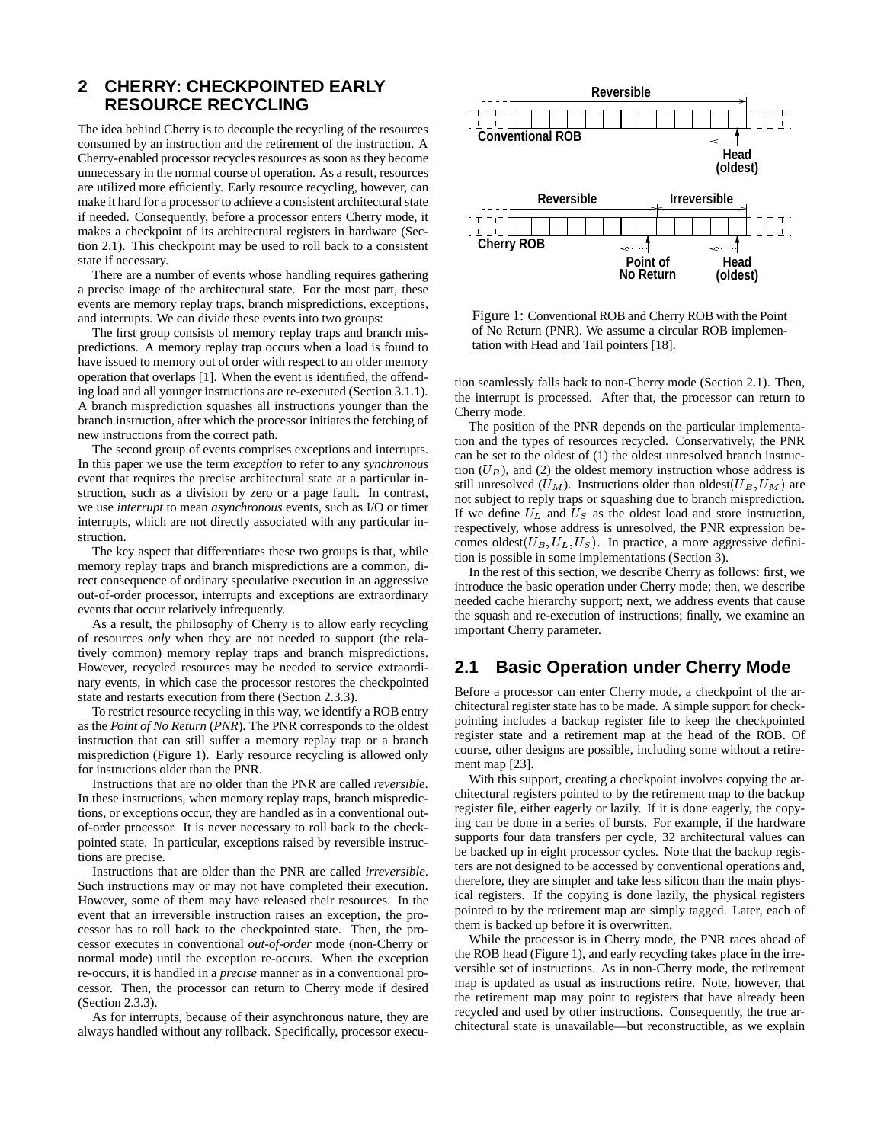### **2 CHERRY: CHECKPOINTED EARLY RESOURCE RECYCLING**

The idea behind Cherry is to decouple the recycling of the resources consumed by an instruction and the retirement of the instruction. A Cherry-enabled processor recycles resources as soon as they become unnecessary in the normal course of operation. As a result, resources are utilized more efficiently. Early resource recycling, however, can make it hard for a processor to achieve a consistent architectural state if needed. Consequently, before a processor enters Cherry mode, it makes a checkpoint of its architectural registers in hardware (Section 2.1). This checkpoint may be used to roll back to a consistent state if necessary.

There are a number of events whose handling requires gathering a precise image of the architectural state. For the most part, these events are memory replay traps, branch mispredictions, exceptions, and interrupts. We can divide these events into two groups:

The first group consists of memory replay traps and branch mispredictions. A memory replay trap occurs when a load is found to have issued to memory out of order with respect to an older memory operation that overlaps [1]. When the event is identified, the offending load and all younger instructions are re-executed (Section 3.1.1). A branch misprediction squashes all instructions younger than the branch instruction, after which the processor initiates the fetching of new instructions from the correct path.

The second group of events comprises exceptions and interrupts. In this paper we use the term *exception* to refer to any *synchronous* event that requires the precise architectural state at a particular instruction, such as a division by zero or a page fault. In contrast, we use *interrupt* to mean *asynchronous* events, such as I/O or timer interrupts, which are not directly associated with any particular instruction.

The key aspect that differentiates these two groups is that, while memory replay traps and branch mispredictions are a common, direct consequence of ordinary speculative execution in an aggressive out-of-order processor, interrupts and exceptions are extraordinary events that occur relatively infrequently.

As a result, the philosophy of Cherry is to allow early recycling of resources *only* when they are not needed to support (the relatively common) memory replay traps and branch mispredictions. However, recycled resources may be needed to service extraordinary events, in which case the processor restores the checkpointed state and restarts execution from there (Section 2.3.3).

To restrict resource recycling in this way, we identify a ROB entry as the *Point of No Return* (*PNR*). The PNR corresponds to the oldest instruction that can still suffer a memory replay trap or a branch misprediction (Figure 1). Early resource recycling is allowed only for instructions older than the PNR.

Instructions that are no older than the PNR are called *reversible*. In these instructions, when memory replay traps, branch mispredictions, or exceptions occur, they are handled as in a conventional outof-order processor. It is never necessary to roll back to the checkpointed state. In particular, exceptions raised by reversible instructions are precise.

Instructions that are older than the PNR are called *irreversible*. Such instructions may or may not have completed their execution. However, some of them may have released their resources. In the event that an irreversible instruction raises an exception, the processor has to roll back to the checkpointed state. Then, the processor executes in conventional *out-of-order* mode (non-Cherry or normal mode) until the exception re-occurs. When the exception re-occurs, it is handled in a *precise* manner as in a conventional processor. Then, the processor can return to Cherry mode if desired (Section 2.3.3).

As for interrupts, because of their asynchronous nature, they are always handled without any rollback. Specifically, processor execu-



Figure 1: Conventional ROB and Cherry ROB with the Point of No Return (PNR). We assume a circular ROB implementation with Head and Tail pointers [18].

tion seamlessly falls back to non-Cherry mode (Section 2.1). Then, the interrupt is processed. After that, the processor can return to Cherry mode.

The position of the PNR depends on the particular implementation and the types of resources recycled. Conservatively, the PNR can be set to the oldest of (1) the oldest unresolved branch instruction  $(U_B)$ , and (2) the oldest memory instruction whose address is still unresolved  $(U_M)$ . Instructions older than oldest $(U_B, U_M)$  are not subject to reply traps or squashing due to branch misprediction. If we define  $U_L$  and  $U_S$  as the oldest load and store instruction, respectively, whose address is unresolved, the PNR expression becomes oldest $(U_B, U_L, U_S)$ . In practice, a more aggressive definition is possible in some implementations (Section 3).

In the rest of this section, we describe Cherry as follows: first, we introduce the basic operation under Cherry mode; then, we describe needed cache hierarchy support; next, we address events that cause the squash and re-execution of instructions; finally, we examine an important Cherry parameter.

# **2.1 Basic Operation under Cherry Mode**

Before a processor can enter Cherry mode, a checkpoint of the architectural register state has to be made. A simple support for checkpointing includes a backup register file to keep the checkpointed register state and a retirement map at the head of the ROB. Of course, other designs are possible, including some without a retirement map [23].

With this support, creating a checkpoint involves copying the architectural registers pointed to by the retirement map to the backup register file, either eagerly or lazily. If it is done eagerly, the copying can be done in a series of bursts. For example, if the hardware supports four data transfers per cycle, 32 architectural values can be backed up in eight processor cycles. Note that the backup registers are not designed to be accessed by conventional operations and, therefore, they are simpler and take less silicon than the main physical registers. If the copying is done lazily, the physical registers pointed to by the retirement map are simply tagged. Later, each of them is backed up before it is overwritten.

While the processor is in Cherry mode, the PNR races ahead of the ROB head (Figure 1), and early recycling takes place in the irreversible set of instructions. As in non-Cherry mode, the retirement map is updated as usual as instructions retire. Note, however, that the retirement map may point to registers that have already been recycled and used by other instructions. Consequently, the true architectural state is unavailable—but reconstructible, as we explain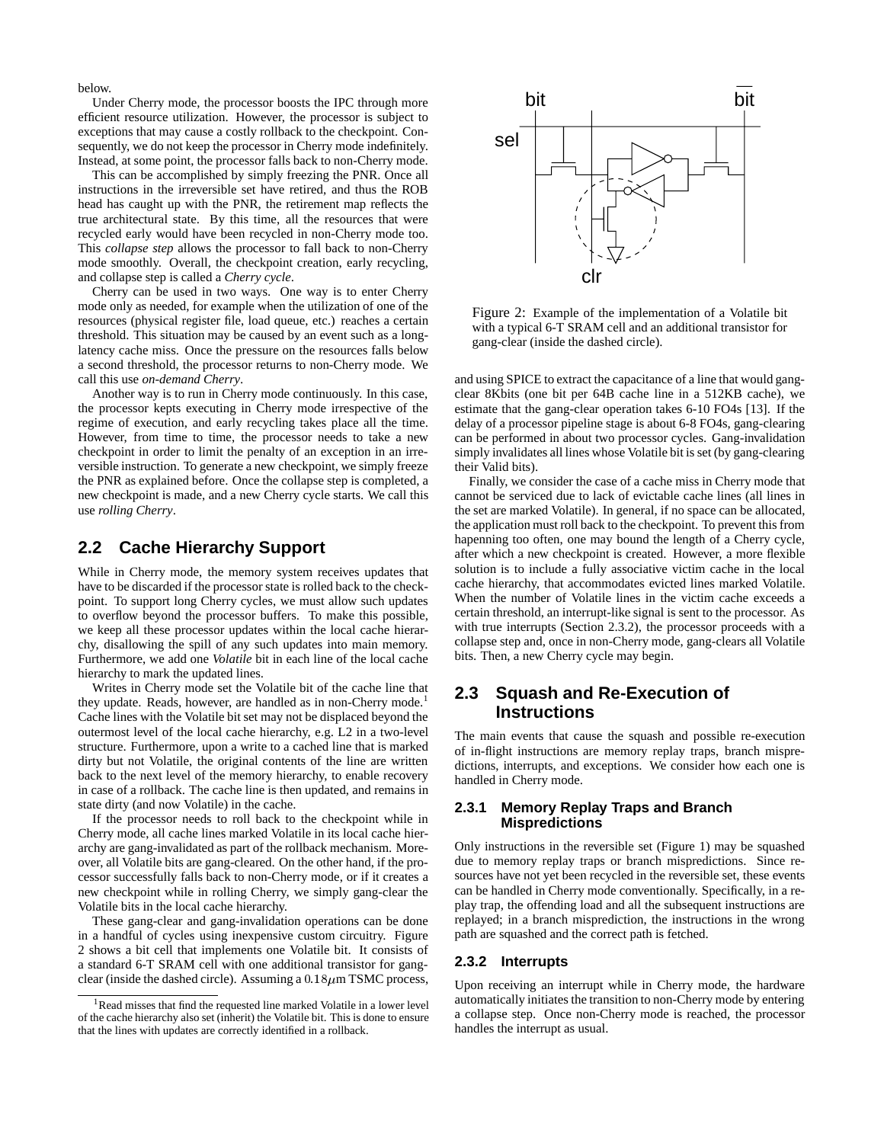below.

Under Cherry mode, the processor boosts the IPC through more efficient resource utilization. However, the processor is subject to exceptions that may cause a costly rollback to the checkpoint. Consequently, we do not keep the processor in Cherry mode indefinitely. Instead, at some point, the processor falls back to non-Cherry mode.

This can be accomplished by simply freezing the PNR. Once all instructions in the irreversible set have retired, and thus the ROB head has caught up with the PNR, the retirement map reflects the true architectural state. By this time, all the resources that were recycled early would have been recycled in non-Cherry mode too. This *collapse step* allows the processor to fall back to non-Cherry mode smoothly. Overall, the checkpoint creation, early recycling, and collapse step is called a *Cherry cycle*.

Cherry can be used in two ways. One way is to enter Cherry mode only as needed, for example when the utilization of one of the resources (physical register file, load queue, etc.) reaches a certain threshold. This situation may be caused by an event such as a longlatency cache miss. Once the pressure on the resources falls below a second threshold, the processor returns to non-Cherry mode. We call this use *on-demand Cherry*.

Another way is to run in Cherry mode continuously. In this case, the processor kepts executing in Cherry mode irrespective of the regime of execution, and early recycling takes place all the time. However, from time to time, the processor needs to take a new checkpoint in order to limit the penalty of an exception in an irreversible instruction. To generate a new checkpoint, we simply freeze the PNR as explained before. Once the collapse step is completed, a new checkpoint is made, and a new Cherry cycle starts. We call this use *rolling Cherry*.

### **2.2 Cache Hierarchy Support**

While in Cherry mode, the memory system receives updates that have to be discarded if the processor state is rolled back to the checkpoint. To support long Cherry cycles, we must allow such updates to overflow beyond the processor buffers. To make this possible, we keep all these processor updates within the local cache hierarchy, disallowing the spill of any such updates into main memory. Furthermore, we add one *Volatile* bit in each line of the local cache hierarchy to mark the updated lines.

Writes in Cherry mode set the Volatile bit of the cache line that they update. Reads, however, are handled as in non-Cherry mode.<sup>1</sup> Cache lines with the Volatile bit set may not be displaced beyond the outermost level of the local cache hierarchy, e.g. L2 in a two-level structure. Furthermore, upon a write to a cached line that is marked dirty but not Volatile, the original contents of the line are written back to the next level of the memory hierarchy, to enable recovery in case of a rollback. The cache line is then updated, and remains in state dirty (and now Volatile) in the cache.

If the processor needs to roll back to the checkpoint while in Cherry mode, all cache lines marked Volatile in its local cache hierarchy are gang-invalidated as part of the rollback mechanism. Moreover, all Volatile bits are gang-cleared. On the other hand, if the processor successfully falls back to non-Cherry mode, or if it creates a new checkpoint while in rolling Cherry, we simply gang-clear the Volatile bits in the local cache hierarchy.

These gang-clear and gang-invalidation operations can be done in a handful of cycles using inexpensive custom circuitry. Figure 2 shows a bit cell that implements one Volatile bit. It consists of a standard 6-T SRAM cell with one additional transistor for gangclear (inside the dashed circle). Assuming a  $0.18 \mu$ m TSMC process,



Figure 2: Example of the implementation of a Volatile bit with a typical 6-T SRAM cell and an additional transistor for gang-clear (inside the dashed circle).

and using SPICE to extract the capacitance of a line that would gangclear 8Kbits (one bit per 64B cache line in a 512KB cache), we estimate that the gang-clear operation takes 6-10 FO4s [13]. If the delay of a processor pipeline stage is about 6-8 FO4s, gang-clearing can be performed in about two processor cycles. Gang-invalidation simply invalidates all lines whose Volatile bit is set (by gang-clearing their Valid bits).

Finally, we consider the case of a cache miss in Cherry mode that cannot be serviced due to lack of evictable cache lines (all lines in the set are marked Volatile). In general, if no space can be allocated, the application must roll back to the checkpoint. To prevent this from hapenning too often, one may bound the length of a Cherry cycle, after which a new checkpoint is created. However, a more flexible solution is to include a fully associative victim cache in the local cache hierarchy, that accommodates evicted lines marked Volatile. When the number of Volatile lines in the victim cache exceeds a certain threshold, an interrupt-like signal is sent to the processor. As with true interrupts (Section 2.3.2), the processor proceeds with a collapse step and, once in non-Cherry mode, gang-clears all Volatile bits. Then, a new Cherry cycle may begin.

### **2.3 Squash and Re-Execution of Instructions**

The main events that cause the squash and possible re-execution of in-flight instructions are memory replay traps, branch mispredictions, interrupts, and exceptions. We consider how each one is handled in Cherry mode.

#### **2.3.1 Memory Replay Traps and Branch Mispredictions**

Only instructions in the reversible set (Figure 1) may be squashed due to memory replay traps or branch mispredictions. Since resources have not yet been recycled in the reversible set, these events can be handled in Cherry mode conventionally. Specifically, in a replay trap, the offending load and all the subsequent instructions are replayed; in a branch misprediction, the instructions in the wrong path are squashed and the correct path is fetched.

#### **2.3.2 Interrupts**

Upon receiving an interrupt while in Cherry mode, the hardware automatically initiates the transition to non-Cherry mode by entering a collapse step. Once non-Cherry mode is reached, the processor handles the interrupt as usual.

<sup>&</sup>lt;sup>1</sup>Read misses that find the requested line marked Volatile in a lower level of the cache hierarchy also set (inherit) the Volatile bit. This is done to ensure that the lines with updates are correctly identified in a rollback.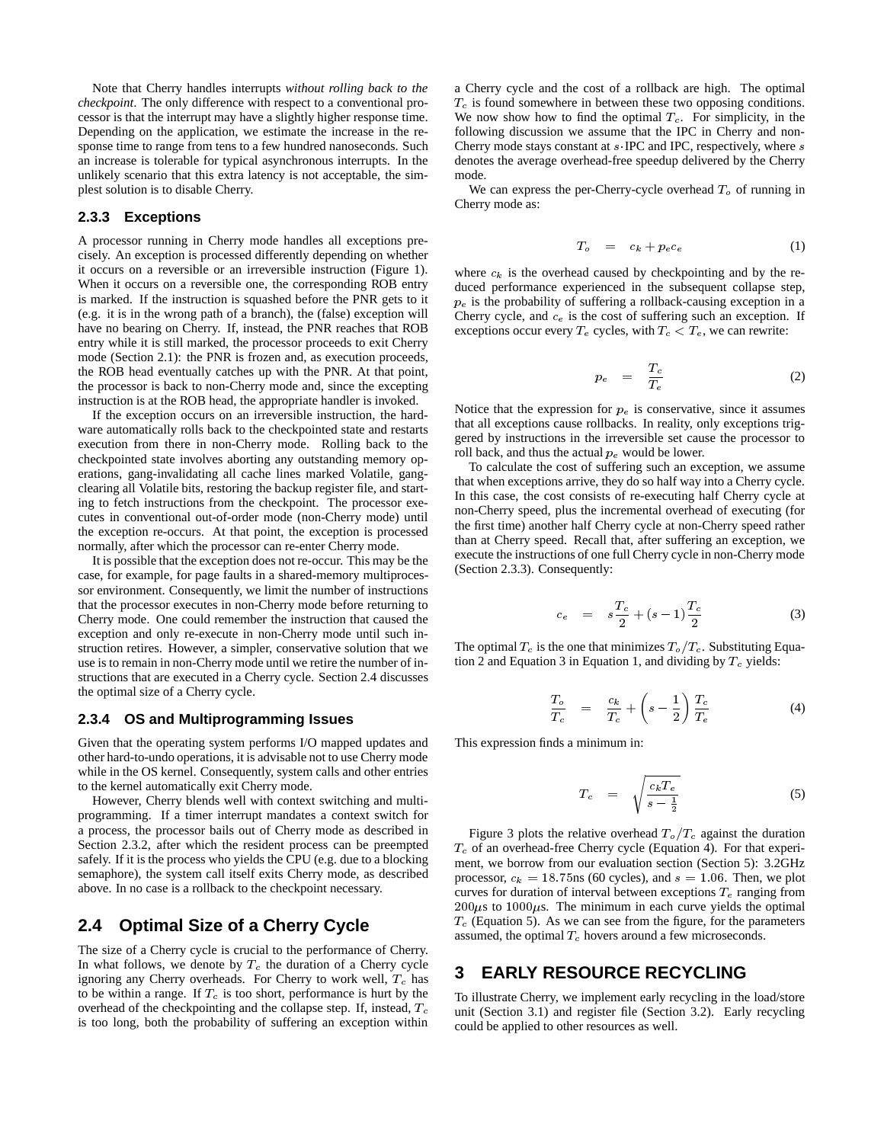Note that Cherry handles interrupts *without rolling back to the checkpoint*. The only difference with respect to a conventional processor is that the interrupt may have a slightly higher response time. Depending on the application, we estimate the increase in the response time to range from tens to a few hundred nanoseconds. Such an increase is tolerable for typical asynchronous interrupts. In the unlikely scenario that this extra latency is not acceptable, the simplest solution is to disable Cherry.

#### **2.3.3 Exceptions**

A processor running in Cherry mode handles all exceptions precisely. An exception is processed differently depending on whether it occurs on a reversible or an irreversible instruction (Figure 1). When it occurs on a reversible one, the corresponding ROB entry is marked. If the instruction is squashed before the PNR gets to it (e.g. it is in the wrong path of a branch), the (false) exception will have no bearing on Cherry. If, instead, the PNR reaches that ROB entry while it is still marked, the processor proceeds to exit Cherry mode (Section 2.1): the PNR is frozen and, as execution proceeds, the ROB head eventually catches up with the PNR. At that point, the processor is back to non-Cherry mode and, since the excepting instruction is at the ROB head, the appropriate handler is invoked.

If the exception occurs on an irreversible instruction, the hardware automatically rolls back to the checkpointed state and restarts execution from there in non-Cherry mode. Rolling back to the checkpointed state involves aborting any outstanding memory operations, gang-invalidating all cache lines marked Volatile, gangclearing all Volatile bits, restoring the backup register file, and starting to fetch instructions from the checkpoint. The processor executes in conventional out-of-order mode (non-Cherry mode) until the exception re-occurs. At that point, the exception is processed normally, after which the processor can re-enter Cherry mode.

It is possible that the exception does not re-occur. This may be the case, for example, for page faults in a shared-memory multiprocessor environment. Consequently, we limit the number of instructions that the processor executes in non-Cherry mode before returning to Cherry mode. One could remember the instruction that caused the exception and only re-execute in non-Cherry mode until such instruction retires. However, a simpler, conservative solution that we use is to remain in non-Cherry mode until we retire the number of instructions that are executed in a Cherry cycle. Section 2.4 discusses the optimal size of a Cherry cycle.

#### **2.3.4 OS and Multiprogramming Issues**

Given that the operating system performs I/O mapped updates and other hard-to-undo operations, it is advisable not to use Cherry mode while in the OS kernel. Consequently, system calls and other entries to the kernel automatically exit Cherry mode.

However, Cherry blends well with context switching and multiprogramming. If a timer interrupt mandates a context switch for a process, the processor bails out of Cherry mode as described in Section 2.3.2, after which the resident process can be preempted safely. If it is the process who yields the CPU (e.g. due to a blocking semaphore), the system call itself exits Cherry mode, as described above. In no case is a rollback to the checkpoint necessary.

### **2.4 Optimal Size of a Cherry Cycle**

The size of a Cherry cycle is crucial to the performance of Cherry. In what follows, we denote by  $T_c$  the duration of a Cherry cycle ignoring any Cherry overheads. For Cherry to work well,  $T_c$  has **3** to be within a range. If  $T_c$  is too short, performance is hurt by the overhead of the checkpointing and the collapse step. If, instead,  $T_c$ is too long, both the probability of suffering an exception within

a Cherry cycle and the cost of a rollback are high. The optimal  $T_c$  is found somewhere in between these two opposing conditions. We now show how to find the optimal  $T_c$ . For simplicity, in the following discussion we assume that the IPC in Cherry and non-Cherry mode stays constant at  $s$  IPC and IPC, respectively, where  $s$ denotes the average overhead-free speedup delivered by the Cherry mode.

We can express the per-Cherry-cycle overhead  $T<sub>o</sub>$  of running in Cherry mode as:

$$
T_o = c_k + p_e c_e \tag{1}
$$

where  $c_k$  is the overhead caused by checkpointing and by the reduced performance experienced in the subsequent collapse step,  $p_e$  is the probability of suffering a rollback-causing exception in a Cherry cycle, and  $c_e$  is the cost of suffering such an exception. If exceptions occur every  $T_e$  cycles, with  $T_c < T_e$ , we can rewrite:

$$
p_e = \frac{T_c}{T_e} \tag{2}
$$

Notice that the expression for  $p_e$  is conservative, since it assumes that all exceptions cause rollbacks. In reality, only exceptions triggered by instructions in the irreversible set cause the processor to roll back, and thus the actual  $p_e$  would be lower.

To calculate the cost of suffering such an exception, we assume that when exceptions arrive, they do so half way into a Cherry cycle. In this case, the cost consists of re-executing half Cherry cycle at non-Cherry speed, plus the incremental overhead of executing (for the first time) another half Cherry cycle at non-Cherry speed rather than at Cherry speed. Recall that, after suffering an exception, we execute the instructions of one full Cherry cycle in non-Cherry mode (Section 2.3.3). Consequently:

$$
c_e = s\frac{T_c}{2} + (s-1)\frac{T_c}{2} \tag{3}
$$

The optimal  $T_c$  is the one that minimizes  $T_c/T_c$ . Substituting Equation 2 and Equation 3 in Equation 1, and dividing by  $T_c$  yields:

$$
\frac{T_o}{T_c} = \frac{c_k}{T_c} + \left(s - \frac{1}{2}\right) \frac{T_c}{T_e} \tag{4}
$$

This expression finds a minimum in:

$$
T_c = \sqrt{\frac{c_k T_e}{s - \frac{1}{2}}} \tag{5}
$$

Figure 3 plots the relative overhead  $T_o/T_c$  against the duration  $T_c$  of an overhead-free Cherry cycle (Equation 4). For that experiment, we borrow from our evaluation section (Section 5): 3.2GHz processor,  $c_k = 18.75$ ns (60 cycles), and  $s = 1.06$ . Then, we plot curves for duration of interval between exceptions  $T_e$  ranging from  $200\mu s$  to  $1000\mu s$ . The minimum in each curve yields the optimal  $T_c$  (Equation 5). As we can see from the figure, for the parameters assumed, the optimal  $T_c$  hovers around a few microseconds.

### **3 EARLY RESOURCE RECYCLING**

To illustrate Cherry, we implement early recycling in the load/store unit (Section 3.1) and register file (Section 3.2). Early recycling could be applied to other resources as well.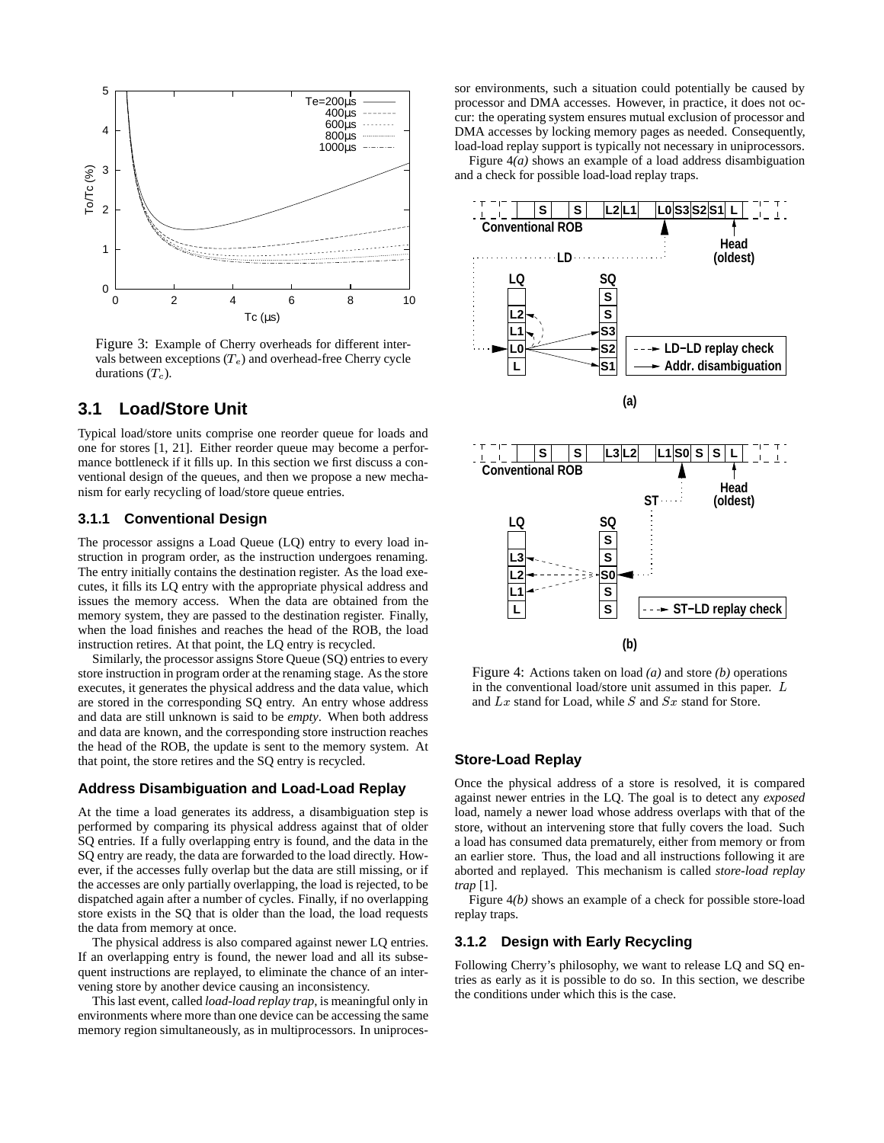

Figure 3: Example of Cherry overheads for different intervals between exceptions  $(T_e)$  and overhead-free Cherry cycle durations  $(T_c)$ .

# **3.1 Load/Store Unit**

Typical load/store units comprise one reorder queue for loads and one for stores [1, 21]. Either reorder queue may become a performance bottleneck if it fills up. In this section we first discuss a conventional design of the queues, and then we propose a new mechanism for early recycling of load/store queue entries.

#### **3.1.1 Conventional Design**

The processor assigns a Load Queue (LQ) entry to every load instruction in program order, as the instruction undergoes renaming. The entry initially contains the destination register. As the load executes, it fills its LQ entry with the appropriate physical address and issues the memory access. When the data are obtained from the memory system, they are passed to the destination register. Finally, when the load finishes and reaches the head of the ROB, the load instruction retires. At that point, the LQ entry is recycled.

Similarly, the processor assigns Store Queue (SQ) entries to every store instruction in program order at the renaming stage. As the store executes, it generates the physical address and the data value, which are stored in the corresponding SQ entry. An entry whose address and data are still unknown is said to be *empty*. When both address and data are known, and the corresponding store instruction reaches the head of the ROB, the update is sent to the memory system. At that point, the store retires and the SQ entry is recycled.

#### **Address Disambiguation and Load-Load Replay**

At the time a load generates its address, a disambiguation step is performed by comparing its physical address against that of older SQ entries. If a fully overlapping entry is found, and the data in the SQ entry are ready, the data are forwarded to the load directly. However, if the accesses fully overlap but the data are still missing, or if the accesses are only partially overlapping, the load is rejected, to be dispatched again after a number of cycles. Finally, if no overlapping store exists in the SQ that is older than the load, the load requests the data from memory at once.

The physical address is also compared against newer LQ entries. If an overlapping entry is found, the newer load and all its subsequent instructions are replayed, to eliminate the chance of an intervening store by another device causing an inconsistency.

This last event, called *load-load replay trap*, is meaningful only in environments where more than one device can be accessing the same memory region simultaneously, as in multiprocessors. In uniprocessor environments, such a situation could potentially be caused by processor and DMA accesses. However, in practice, it does not occur: the operating system ensures mutual exclusion of processor and DMA accesses by locking memory pages as needed. Consequently, load-load replay support is typically not necessary in uniprocessors.

Figure 4*(a)* shows an example of a load address disambiguation and a check for possible load-load replay traps.



Figure 4: Actions taken on load *(a)* and store *(b)* operations in the conventional load/store unit assumed in this paper. <sup>L</sup> and Lx stand for Load, while S and Sx stand for Store.

#### **Store-Load Replay**

Once the physical address of a store is resolved, it is compared against newer entries in the LQ. The goal is to detect any *exposed* load, namely a newer load whose address overlaps with that of the store, without an intervening store that fully covers the load. Such a load has consumed data prematurely, either from memory or from an earlier store. Thus, the load and all instructions following it are aborted and replayed. This mechanism is called *store-load replay trap* [1].

Figure 4*(b)* shows an example of a check for possible store-load replay traps.

#### **3.1.2 Design with Early Recycling**

Following Cherry's philosophy, we want to release LQ and SQ entries as early as it is possible to do so. In this section, we describe the conditions under which this is the case.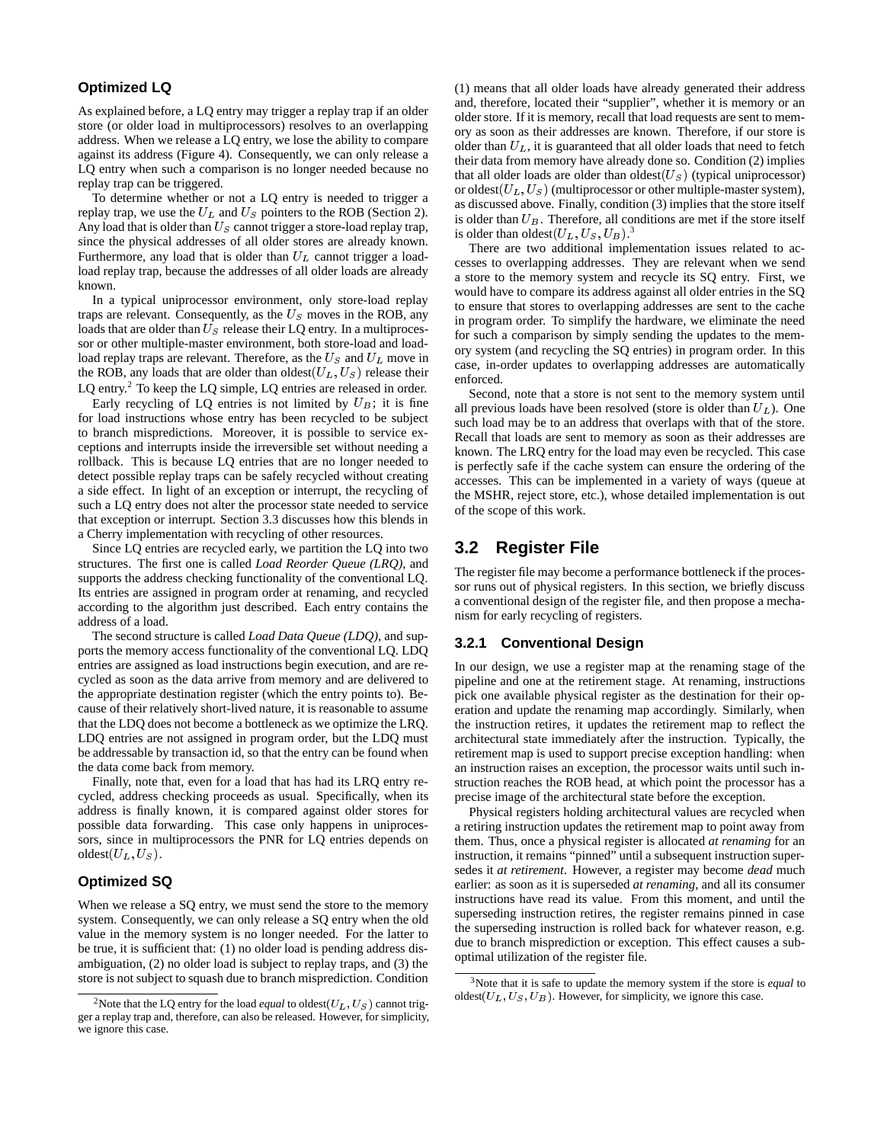### **Optimized LQ**

As explained before, a LQ entry may trigger a replay trap if an older store (or older load in multiprocessors) resolves to an overlapping address. When we release a LQ entry, we lose the ability to compare against its address (Figure 4). Consequently, we can only release a LQ entry when such a comparison is no longer needed because no replay trap can be triggered.

To determine whether or not a LQ entry is needed to trigger a replay trap, we use the  $U_L$  and  $U_S$  pointers to the ROB (Section 2). Any load that is older than  $U_S$  cannot trigger a store-load replay trap, since the physical addresses of all older stores are already known. Furthermore, any load that is older than  $U_L$  cannot trigger a loadload replay trap, because the addresses of all older loads are already known.

In a typical uniprocessor environment, only store-load replay traps are relevant. Consequently, as the  $U<sub>S</sub>$  moves in the ROB, any loads that are older than  $U<sub>S</sub>$  release their LQ entry. In a multiprocessor or other multiple-master environment, both store-load and loadload replay traps are relevant. Therefore, as the  $U_S$  and  $U_L$  move in the ROB, any loads that are older than oldest( $U_L, U_S$ ) release their LQ entry.<sup>2</sup> To keep the LQ simple, LQ entries are released in order.

Early recycling of LQ entries is not limited by  $U_B$ ; it is fine for load instructions whose entry has been recycled to be subject to branch mispredictions. Moreover, it is possible to service exceptions and interrupts inside the irreversible set without needing a rollback. This is because LQ entries that are no longer needed to detect possible replay traps can be safely recycled without creating a side effect. In light of an exception or interrupt, the recycling of such a LQ entry does not alter the processor state needed to service that exception or interrupt. Section 3.3 discusses how this blends in a Cherry implementation with recycling of other resources.

Since LQ entries are recycled early, we partition the LQ into two structures. The first one is called *Load Reorder Queue (LRQ)*, and supports the address checking functionality of the conventional LQ. Its entries are assigned in program order at renaming, and recycled according to the algorithm just described. Each entry contains the address of a load.

The second structure is called *Load Data Queue (LDQ)*, and supports the memory access functionality of the conventional LQ. LDQ entries are assigned as load instructions begin execution, and are recycled as soon as the data arrive from memory and are delivered to the appropriate destination register (which the entry points to). Because of their relatively short-lived nature, it is reasonable to assume that the LDQ does not become a bottleneck as we optimize the LRQ. LDQ entries are not assigned in program order, but the LDQ must be addressable by transaction id, so that the entry can be found when the data come back from memory.

Finally, note that, even for a load that has had its LRQ entry recycled, address checking proceeds as usual. Specifically, when its address is finally known, it is compared against older stores for possible data forwarding. This case only happens in uniprocessors, since in multiprocessors the PNR for LQ entries depends on oldest $(U_L, U_S)$ .

#### **Optimized SQ**

When we release a SQ entry, we must send the store to the memory system. Consequently, we can only release a SQ entry when the old value in the memory system is no longer needed. For the latter to be true, it is sufficient that: (1) no older load is pending address disambiguation, (2) no older load is subject to replay traps, and (3) the store is not subject to squash due to branch misprediction. Condition (1) means that all older loads have already generated their address and, therefore, located their "supplier", whether it is memory or an older store. If it is memory, recall that load requests are sent to memory as soon as their addresses are known. Therefore, if our store is older than  $U_L$ , it is guaranteed that all older loads that need to fetch their data from memory have already done so. Condition (2) implies that all older loads are older than oldest( $U<sub>S</sub>$ ) (typical uniprocessor) or oldest( $U_L, U_S$ ) (multiprocessor or other multiple-master system), as discussed above. Finally, condition (3) implies that the store itself is older than  $U_B$ . Therefore, all conditions are met if the store itself is older than oldest $(U_L, U_S, U_B)$ .<sup>3</sup>

There are two additional implementation issues related to accesses to overlapping addresses. They are relevant when we send a store to the memory system and recycle its SQ entry. First, we would have to compare its address against all older entries in the SQ to ensure that stores to overlapping addresses are sent to the cache in program order. To simplify the hardware, we eliminate the need for such a comparison by simply sending the updates to the memory system (and recycling the SQ entries) in program order. In this case, in-order updates to overlapping addresses are automatically enforced.

Second, note that a store is not sent to the memory system until all previous loads have been resolved (store is older than  $U_L$ ). One such load may be to an address that overlaps with that of the store. Recall that loads are sent to memory as soon as their addresses are known. The LRQ entry for the load may even be recycled. This case is perfectly safe if the cache system can ensure the ordering of the accesses. This can be implemented in a variety of ways (queue at the MSHR, reject store, etc.), whose detailed implementation is out of the scope of this work.

### **3.2 Register File**

The register file may become a performance bottleneck if the processor runs out of physical registers. In this section, we briefly discuss a conventional design of the register file, and then propose a mechanism for early recycling of registers.

#### **3.2.1 Conventional Design**

In our design, we use a register map at the renaming stage of the pipeline and one at the retirement stage. At renaming, instructions pick one available physical register as the destination for their operation and update the renaming map accordingly. Similarly, when the instruction retires, it updates the retirement map to reflect the architectural state immediately after the instruction. Typically, the retirement map is used to support precise exception handling: when an instruction raises an exception, the processor waits until such instruction reaches the ROB head, at which point the processor has a precise image of the architectural state before the exception.

Physical registers holding architectural values are recycled when a retiring instruction updates the retirement map to point away from them. Thus, once a physical register is allocated *at renaming* for an instruction, it remains "pinned" until a subsequent instruction supersedes it *at retirement*. However, a register may become *dead* much earlier: as soon as it is superseded *at renaming*, and all its consumer instructions have read its value. From this moment, and until the superseding instruction retires, the register remains pinned in case the superseding instruction is rolled back for whatever reason, e.g. due to branch misprediction or exception. This effect causes a suboptimal utilization of the register file.

<sup>&</sup>lt;sup>2</sup>Note that the LQ entry for the load *equal* to oldest( $U_L$ ,  $U_S$ ) cannot trigger a replay trap and, therefore, can also be released. However, for simplicity, we ignore this case.

<sup>3</sup>Note that it is safe to update the memory system if the store is *equal* to oldest( $U_L$ ,  $U_S$ ,  $U_B$ ). However, for simplicity, we ignore this case.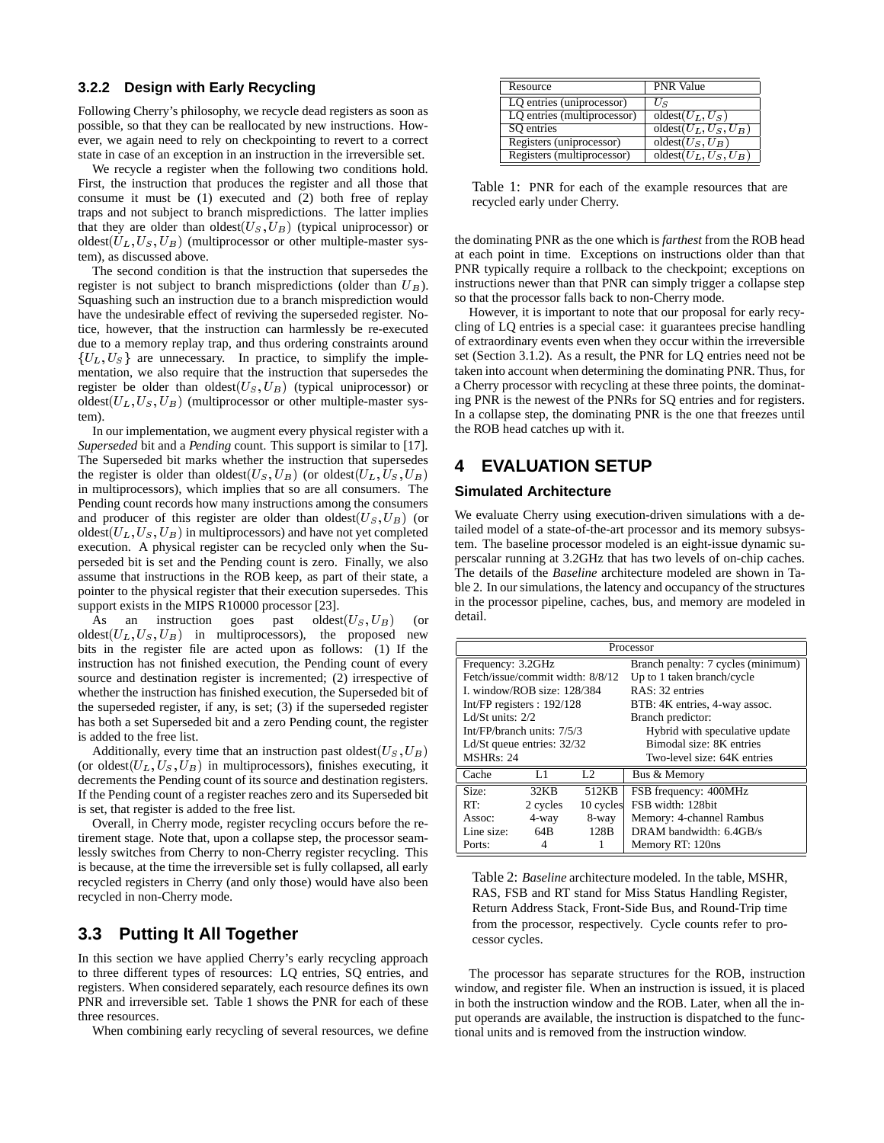#### **3.2.2 Design with Early Recycling**

Following Cherry's philosophy, we recycle dead registers as soon as possible, so that they can be reallocated by new instructions. However, we again need to rely on checkpointing to revert to a correct state in case of an exception in an instruction in the irreversible set.

We recycle a register when the following two conditions hold. First, the instruction that produces the register and all those that consume it must be (1) executed and (2) both free of replay traps and not subject to branch mispredictions. The latter implies that they are older than oldest( $U_S, U_B$ ) (typical uniprocessor) or oldest( $U_L, U_S, U_B$ ) (multiprocessor or other multiple-master system), as discussed above.

The second condition is that the instruction that supersedes the register is not subject to branch mispredictions (older than  $U_B$ ). Squashing such an instruction due to a branch misprediction would have the undesirable effect of reviving the superseded register. Notice, however, that the instruction can harmlessly be re-executed due to a memory replay trap, and thus ordering constraints around  $\{U_L, U_S\}$  are unnecessary. In practice, to simplify the implementation, we also require that the instruction that supersedes the register be older than oldest( $U_S, U_B$ ) (typical uniprocessor) or oldest( $U_L, U_S, U_B$ ) (multiprocessor or other multiple-master system).

In our implementation, we augment every physical register with a *Superseded* bit and a *Pending* count. This support is similar to [17]. The Superseded bit marks whether the instruction that supersedes The superseded of marks whether the instruction that supersedes<br>the register is older than oldest( $U_S, U_B$ ) (or oldest( $U_L, U_S, U_B$ ) in multiprocessors), which implies that so are all consumers. The Pending count records how many instructions among the consumers and producer of this register are older than oldest( $U_S, U_B$ ) (or oldest( $U_L, U_S, U_B$ ) in multiprocessors) and have not yet completed execution. A physical register can be recycled only when the Superseded bit is set and the Pending count is zero. Finally, we also assume that instructions in the ROB keep, as part of their state, a pointer to the physical register that their execution supersedes. This support exists in the MIPS R10000 processor [23].

As an instruction goes past oldest $(U_S, U_B)$  (or oldest( $U_L, U_S, U_B$ ) in multiprocessors), the proposed new bits in the register file are acted upon as follows: (1) If the instruction has not finished execution, the Pending count of every source and destination register is incremented; (2) irrespective of whether the instruction has finished execution, the Superseded bit of the superseded register, if any, is set; (3) if the superseded register has both a set Superseded bit and a zero Pending count, the register is added to the free list.

Additionally, every time that an instruction past oldest( $U_S, U_B$ ) (or oldest $(U_L, U_S, U_B)$  in multiprocessors), finishes executing, it decrements the Pending count of its source and destination registers. If the Pending count of a register reaches zero and its Superseded bit is set, that register is added to the free list.

Overall, in Cherry mode, register recycling occurs before the retirement stage. Note that, upon a collapse step, the processor seamlessly switches from Cherry to non-Cherry register recycling. This is because, at the time the irreversible set is fully collapsed, all early recycled registers in Cherry (and only those) would have also been recycled in non-Cherry mode.

### **3.3 Putting It All Together**

In this section we have applied Cherry's early recycling approach to three different types of resources: LQ entries, SQ entries, and registers. When considered separately, each resource defines its own PNR and irreversible set. Table 1 shows the PNR for each of these three resources.

When combining early recycling of several resources, we define

| Resource                    | <b>PNR</b> Value         |
|-----------------------------|--------------------------|
| LQ entries (uniprocessor)   |                          |
| LQ entries (multiprocessor) | oldest $(U_L, U_S)$      |
| SO entries                  | oldest $(U_L, U_S, U_B)$ |
| Registers (uniprocessor)    | oldest $(U_S, U_B)$      |
| Registers (multiprocessor)  | oldest $(U_L, U_S, U_B)$ |
|                             |                          |

Table 1: PNR for each of the example resources that are recycled early under Cherry.

the dominating PNR as the one which is *farthest* from the ROB head at each point in time. Exceptions on instructions older than that PNR typically require a rollback to the checkpoint; exceptions on instructions newer than that PNR can simply trigger a collapse step so that the processor falls back to non-Cherry mode.

However, it is important to note that our proposal for early recycling of LQ entries is a special case: it guarantees precise handling of extraordinary events even when they occur within the irreversible set (Section 3.1.2). As a result, the PNR for LQ entries need not be taken into account when determining the dominating PNR. Thus, for a Cherry processor with recycling at these three points, the dominating PNR is the newest of the PNRs for SQ entries and for registers. In a collapse step, the dominating PNR is the one that freezes until the ROB head catches up with it.

### **4 EVALUATION SETUP**

#### **Simulated Architecture**

We evaluate Cherry using execution-driven simulations with a detailed model of a state-of-the-art processor and its memory subsystem. The baseline processor modeled is an eight-issue dynamic superscalar running at 3.2GHz that has two levels of on-chip caches. The details of the *Baseline* architecture modeled are shown in Table 2. In our simulations, the latency and occupancy of the structures in the processor pipeline, caches, bus, and memory are modeled in detail.

| Processor                        |          |                  |                                    |  |  |  |  |  |
|----------------------------------|----------|------------------|------------------------------------|--|--|--|--|--|
| Frequency: 3.2GHz                |          |                  | Branch penalty: 7 cycles (minimum) |  |  |  |  |  |
| Fetch/issue/commit width: 8/8/12 |          |                  | Up to 1 taken branch/cycle         |  |  |  |  |  |
| L. window/ROB size: 128/384      |          |                  | RAS: 32 entries                    |  |  |  |  |  |
| Int/FP registers : $192/128$     |          |                  | BTB: 4K entries, 4-way assoc.      |  |  |  |  |  |
| Ld/St units: $2/2$               |          |                  | Branch predictor:                  |  |  |  |  |  |
| Int/FP/branch units: 7/5/3       |          |                  | Hybrid with speculative update     |  |  |  |  |  |
| Ld/St queue entries: 32/32       |          |                  | Bimodal size: 8K entries           |  |  |  |  |  |
| MSHR <sub>s</sub> : 24           |          |                  | Two-level size: 64K entries        |  |  |  |  |  |
| Cache                            |          | L2               | Bus & Memory                       |  |  |  |  |  |
| Size:                            | 32KB     | 512KB            | FSB frequency: 400MHz              |  |  |  |  |  |
| RT:                              | 2 cycles | 10 cycles        | FSB width: 128bit                  |  |  |  |  |  |
| Assoc:                           | 4-way    | 8-way            | Memory: 4-channel Rambus           |  |  |  |  |  |
| Line size:                       | 64B      | 128 <sub>B</sub> | DRAM bandwidth: 6.4GB/s            |  |  |  |  |  |
| Ports:                           |          |                  | Memory RT: 120ns                   |  |  |  |  |  |

Table 2: *Baseline* architecture modeled. In the table, MSHR, RAS, FSB and RT stand for Miss Status Handling Register, Return Address Stack, Front-Side Bus, and Round-Trip time from the processor, respectively. Cycle counts refer to processor cycles.

The processor has separate structures for the ROB, instruction window, and register file. When an instruction is issued, it is placed in both the instruction window and the ROB. Later, when all the input operands are available, the instruction is dispatched to the functional units and is removed from the instruction window.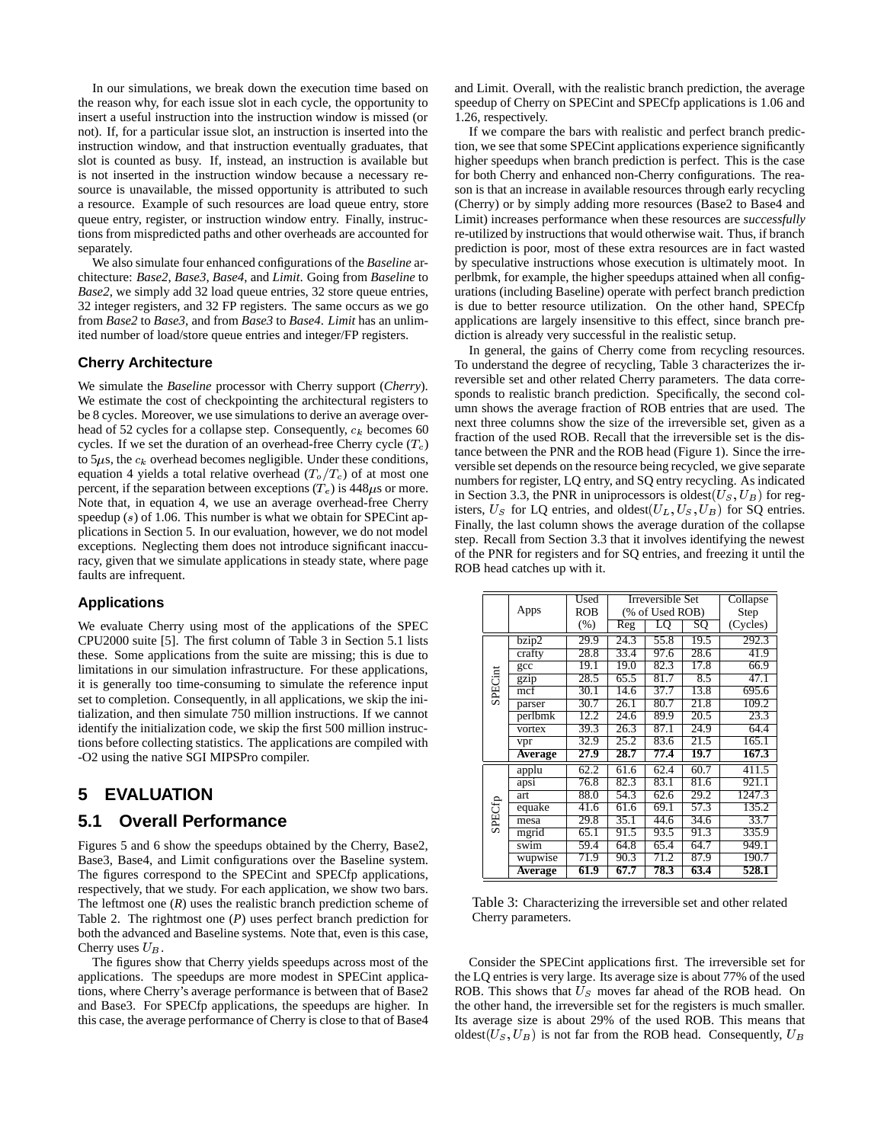In our simulations, we break down the execution time based on the reason why, for each issue slot in each cycle, the opportunity to insert a useful instruction into the instruction window is missed (or not). If, for a particular issue slot, an instruction is inserted into the instruction window, and that instruction eventually graduates, that slot is counted as busy. If, instead, an instruction is available but is not inserted in the instruction window because a necessary resource is unavailable, the missed opportunity is attributed to such a resource. Example of such resources are load queue entry, store queue entry, register, or instruction window entry. Finally, instructions from mispredicted paths and other overheads are accounted for separately.

We also simulate four enhanced configurations of the *Baseline* architecture: *Base2*, *Base3*, *Base4*, and *Limit*. Going from *Baseline* to *Base2*, we simply add 32 load queue entries, 32 store queue entries, 32 integer registers, and 32 FP registers. The same occurs as we go from *Base2* to *Base3*, and from *Base3* to *Base4*. *Limit* has an unlimited number of load/store queue entries and integer/FP registers.

#### **Cherry Architecture**

We simulate the *Baseline* processor with Cherry support (*Cherry*). We estimate the cost of checkpointing the architectural registers to be 8 cycles. Moreover, we use simulations to derive an average overhead of 52 cycles for a collapse step. Consequently,  $c_k$  becomes 60 cycles. If we set the duration of an overhead-free Cherry cycle  $(T_c)$ to  $5\mu s$ , the  $c_k$  overhead becomes negligible. Under these conditions, equation 4 yields a total relative overhead  $(T_o/T_c)$  of at most one percent, if the separation between exceptions  $(T_e)$  is 448 $\mu$ s or more. Note that, in equation 4, we use an average overhead-free Cherry speedup  $(s)$  of 1.06. This number is what we obtain for SPECint applications in Section 5. In our evaluation, however, we do not model exceptions. Neglecting them does not introduce significant inaccuracy, given that we simulate applications in steady state, where page faults are infrequent.

#### **Applications**

We evaluate Cherry using most of the applications of the SPEC CPU2000 suite [5]. The first column of Table 3 in Section 5.1 lists these. Some applications from the suite are missing; this is due to limitations in our simulation infrastructure. For these applications, it is generally too time-consuming to simulate the reference input set to completion. Consequently, in all applications, we skip the initialization, and then simulate 750 million instructions. If we cannot identify the initialization code, we skip the first 500 million instructions before collecting statistics. The applications are compiled with -O2 using the native SGI MIPSPro compiler.

### **5 EVALUATION**

#### **5.1 Overall Performance**

Figures 5 and 6 show the speedups obtained by the Cherry, Base2, Base3, Base4, and Limit configurations over the Baseline system. The figures correspond to the SPECint and SPECfp applications, respectively, that we study. For each application, we show two bars. The leftmost one  $(R)$  uses the realistic branch prediction scheme of Table 2. The rightmost one (*P*) uses perfect branch prediction for both the advanced and Baseline systems. Note that, even is this case, Cherry uses  $U_B$ .

The figures show that Cherry yields speedups across most of the applications. The speedups are more modest in SPECint applications, where Cherry's average performance is between that of Base2 and Base3. For SPECfp applications, the speedups are higher. In this case, the average performance of Cherry is close to that of Base4 and Limit. Overall, with the realistic branch prediction, the average speedup of Cherry on SPECint and SPECfp applications is 1.06 and 1.26, respectively.

If we compare the bars with realistic and perfect branch prediction, we see that some SPECint applications experience significantly higher speedups when branch prediction is perfect. This is the case for both Cherry and enhanced non-Cherry configurations. The reason is that an increase in available resources through early recycling (Cherry) or by simply adding more resources (Base2 to Base4 and Limit) increases performance when these resources are *successfully* re-utilized by instructions that would otherwise wait. Thus, if branch prediction is poor, most of these extra resources are in fact wasted by speculative instructions whose execution is ultimately moot. In perlbmk, for example, the higher speedups attained when all configurations (including Baseline) operate with perfect branch prediction is due to better resource utilization. On the other hand, SPECfp applications are largely insensitive to this effect, since branch prediction is already very successful in the realistic setup.

In general, the gains of Cherry come from recycling resources. To understand the degree of recycling, Table 3 characterizes the irreversible set and other related Cherry parameters. The data corresponds to realistic branch prediction. Specifically, the second column shows the average fraction of ROB entries that are used. The next three columns show the size of the irreversible set, given as a fraction of the used ROB. Recall that the irreversible set is the distance between the PNR and the ROB head (Figure 1). Since the irreversible set depends on the resource being recycled, we give separate numbers for register, LQ entry, and SQ entry recycling. As indicated in Section 3.3, the PNR in uniprocessors is oldest( $U_S, U_B$ ) for registers,  $U_S$  for LQ entries, and oldest $(U_L, U_S, U_B)$  for SQ entries. Finally, the last column shows the average duration of the collapse step. Recall from Section 3.3 that it involves identifying the newest of the PNR for registers and for SQ entries, and freezing it until the ROB head catches up with it.

|                | Apps           | <b>Used</b><br>Irreversible Set<br>(% of Used ROB)<br>ROB |      |      |      | Collapse<br>Step |
|----------------|----------------|-----------------------------------------------------------|------|------|------|------------------|
|                |                | (% )                                                      | Reg  | LO   | SQ   | (Cycles)         |
| <b>SPECint</b> | bzip2          | 29.9                                                      | 24.3 | 55.8 | 19.5 | 292.3            |
|                | crafty         | 28.8                                                      | 33.4 | 97.6 | 28.6 | 41.9             |
|                | gcc            | 19.1                                                      | 19.0 | 82.3 | 17.8 | 66.9             |
|                | gzip           | 28.5                                                      | 65.5 | 81.7 | 8.5  | 47.1             |
|                | mcf            | 30.1                                                      | 14.6 | 37.7 | 13.8 | 695.6            |
|                | parser         | 30.7                                                      | 26.1 | 80.7 | 21.8 | 109.2            |
|                | perlbmk        | 12.2                                                      | 24.6 | 89.9 | 20.5 | 23.3             |
|                | vortex         | 39.3                                                      | 26.3 | 87.1 | 24.9 | 64.4             |
|                | vpr            | 32.9                                                      | 25.2 | 83.6 | 21.5 | 165.1            |
|                | <b>Average</b> | 27.9                                                      | 28.7 | 77.4 | 19.7 | 167.3            |
| SPECfp         | applu          | 62.2                                                      | 61.6 | 62.4 | 60.7 | 411.5            |
|                | apsi           | 76.8                                                      | 82.3 | 83.1 | 81.6 | 921.1            |
|                | art            | 88.0                                                      | 54.3 | 62.6 | 29.2 | 1247.3           |
|                | equake         | 41.6                                                      | 61.6 | 69.1 | 57.3 | 135.2            |
|                | mesa           | 29.8                                                      | 35.1 | 44.6 | 34.6 | 33.7             |
|                | mgrid          | 65.1                                                      | 91.5 | 93.5 | 91.3 | 335.9            |
|                | swim           | 59.4                                                      | 64.8 | 65.4 | 64.7 | 949.1            |
|                | wupwise        | 71.9                                                      | 90.3 | 71.2 | 87.9 | 190.7            |
|                | <b>Average</b> | 61.9                                                      | 67.7 | 78.3 | 63.4 | 528.1            |

Table 3: Characterizing the irreversible set and other related Cherry parameters.

Consider the SPECint applications first. The irreversible set for the LQ entries is very large. Its average size is about 77% of the used ROB. This shows that  $U<sub>S</sub>$  moves far ahead of the ROB head. On the other hand, the irreversible set for the registers is much smaller. Its average size is about 29% of the used ROB. This means that oldest( $U_S, U_B$ ) is not far from the ROB head. Consequently,  $U_B$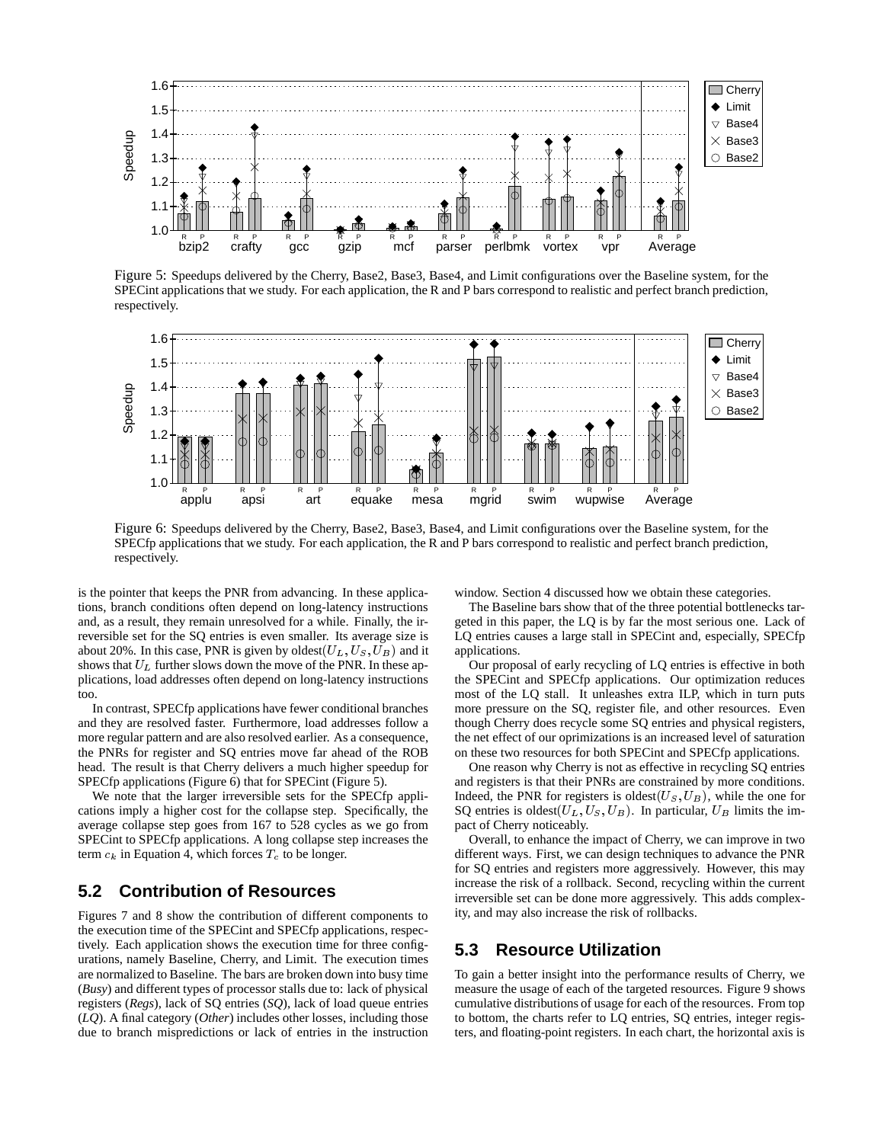

Figure 5: Speedups delivered by the Cherry, Base2, Base3, Base4, and Limit configurations over the Baseline system, for the SPECint applications that we study. For each application, the R and P bars correspond to realistic and perfect branch prediction, respectively.



Figure 6: Speedups delivered by the Cherry, Base2, Base3, Base4, and Limit configurations over the Baseline system, for the SPECfp applications that we study. For each application, the R and P bars correspond to realistic and perfect branch prediction, respectively.

is the pointer that keeps the PNR from advancing. In these applications, branch conditions often depend on long-latency instructions and, as a result, they remain unresolved for a while. Finally, the irreversible set for the SQ entries is even smaller. Its average size is about 20%. In this case, PNR is given by oldest( $U_L, U_S, U_B$ ) and it shows that  $U_L$  further slows down the move of the PNR. In these applications, load addresses often depend on long-latency instructions too.

In contrast, SPECfp applications have fewer conditional branches and they are resolved faster. Furthermore, load addresses follow a more regular pattern and are also resolved earlier. As a consequence, the PNRs for register and SQ entries move far ahead of the ROB head. The result is that Cherry delivers a much higher speedup for SPECfp applications (Figure 6) that for SPECint (Figure 5).

We note that the larger irreversible sets for the SPECfp applications imply a higher cost for the collapse step. Specifically, the average collapse step goes from 167 to 528 cycles as we go from SPECint to SPECfp applications. A long collapse step increases the term  $c_k$  in Equation 4, which forces  $T_c$  to be longer.

## **5.2 Contribution of Resources**

Figures 7 and 8 show the contribution of different components to the execution time of the SPECint and SPECfp applications, respectively. Each application shows the execution time for three configurations, namely Baseline, Cherry, and Limit. The execution times are normalized to Baseline. The bars are broken down into busy time (*Busy*) and different types of processor stalls due to: lack of physical registers (*Regs*), lack of SQ entries (*SQ*), lack of load queue entries (*LQ*). A final category (*Other*) includes other losses, including those due to branch mispredictions or lack of entries in the instruction window. Section 4 discussed how we obtain these categories.

The Baseline bars show that of the three potential bottlenecks targeted in this paper, the LQ is by far the most serious one. Lack of LQ entries causes a large stall in SPECint and, especially, SPECfp applications.

Our proposal of early recycling of LQ entries is effective in both the SPECint and SPECfp applications. Our optimization reduces most of the LQ stall. It unleashes extra ILP, which in turn puts more pressure on the SQ, register file, and other resources. Even though Cherry does recycle some SQ entries and physical registers, the net effect of our oprimizations is an increased level of saturation on these two resources for both SPECint and SPECfp applications.

One reason why Cherry is not as effective in recycling SQ entries and registers is that their PNRs are constrained by more conditions. Indeed, the PNR for registers is oldest( $U_S, U_B$ ), while the one for SQ entries is oldest $(U_L, U_S, U_B)$ . In particular,  $U_B$  limits the impact of Cherry noticeably.

Overall, to enhance the impact of Cherry, we can improve in two different ways. First, we can design techniques to advance the PNR for SQ entries and registers more aggressively. However, this may increase the risk of a rollback. Second, recycling within the current irreversible set can be done more aggressively. This adds complexity, and may also increase the risk of rollbacks.

### **5.3 Resource Utilization**

To gain a better insight into the performance results of Cherry, we measure the usage of each of the targeted resources. Figure 9 shows cumulative distributions of usage for each of the resources. From top to bottom, the charts refer to LQ entries, SQ entries, integer registers, and floating-point registers. In each chart, the horizontal axis is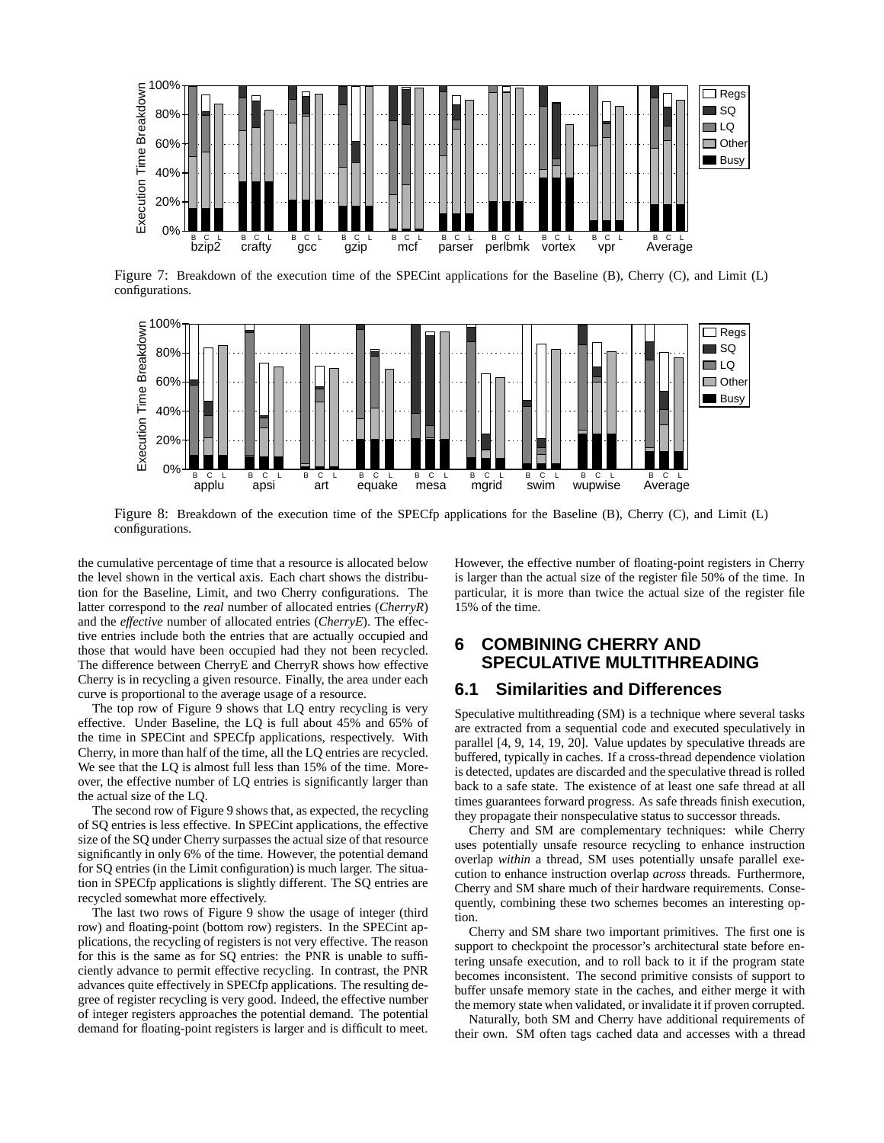

Figure 7: Breakdown of the execution time of the SPECint applications for the Baseline (B), Cherry (C), and Limit (L) configurations.



Figure 8: Breakdown of the execution time of the SPECfp applications for the Baseline (B), Cherry (C), and Limit (L) configurations.

the cumulative percentage of time that a resource is allocated below the level shown in the vertical axis. Each chart shows the distribution for the Baseline, Limit, and two Cherry configurations. The latter correspond to the *real* number of allocated entries (*CherryR*) and the *effective* number of allocated entries (*CherryE*). The effective entries include both the entries that are actually occupied and those that would have been occupied had they not been recycled. The difference between CherryE and CherryR shows how effective Cherry is in recycling a given resource. Finally, the area under each curve is proportional to the average usage of a resource.

The top row of Figure 9 shows that LQ entry recycling is very effective. Under Baseline, the LQ is full about 45% and 65% of the time in SPECint and SPECfp applications, respectively. With Cherry, in more than half of the time, all the LQ entries are recycled. We see that the LQ is almost full less than 15% of the time. Moreover, the effective number of LQ entries is significantly larger than the actual size of the LQ.

The second row of Figure 9 shows that, as expected, the recycling of SQ entries is less effective. In SPECint applications, the effective size of the SQ under Cherry surpasses the actual size of that resource significantly in only 6% of the time. However, the potential demand for SQ entries (in the Limit configuration) is much larger. The situation in SPECfp applications is slightly different. The SQ entries are recycled somewhat more effectively.

The last two rows of Figure 9 show the usage of integer (third row) and floating-point (bottom row) registers. In the SPECint applications, the recycling of registers is not very effective. The reason for this is the same as for SQ entries: the PNR is unable to sufficiently advance to permit effective recycling. In contrast, the PNR advances quite effectively in SPECfp applications. The resulting degree of register recycling is very good. Indeed, the effective number of integer registers approaches the potential demand. The potential demand for floating-point registers is larger and is difficult to meet. However, the effective number of floating-point registers in Cherry is larger than the actual size of the register file 50% of the time. In particular, it is more than twice the actual size of the register file 15% of the time.

# **6 COMBINING CHERRY AND SPECULATIVE MULTITHREADING**

### **6.1 Similarities and Differences**

Speculative multithreading (SM) is a technique where several tasks are extracted from a sequential code and executed speculatively in parallel [4, 9, 14, 19, 20]. Value updates by speculative threads are buffered, typically in caches. If a cross-thread dependence violation is detected, updates are discarded and the speculative thread is rolled back to a safe state. The existence of at least one safe thread at all times guarantees forward progress. As safe threads finish execution, they propagate their nonspeculative status to successor threads.

Cherry and SM are complementary techniques: while Cherry uses potentially unsafe resource recycling to enhance instruction overlap *within* a thread, SM uses potentially unsafe parallel execution to enhance instruction overlap *across* threads. Furthermore, Cherry and SM share much of their hardware requirements. Consequently, combining these two schemes becomes an interesting option.

Cherry and SM share two important primitives. The first one is support to checkpoint the processor's architectural state before entering unsafe execution, and to roll back to it if the program state becomes inconsistent. The second primitive consists of support to buffer unsafe memory state in the caches, and either merge it with the memory state when validated, or invalidate it if proven corrupted.

Naturally, both SM and Cherry have additional requirements of their own. SM often tags cached data and accesses with a thread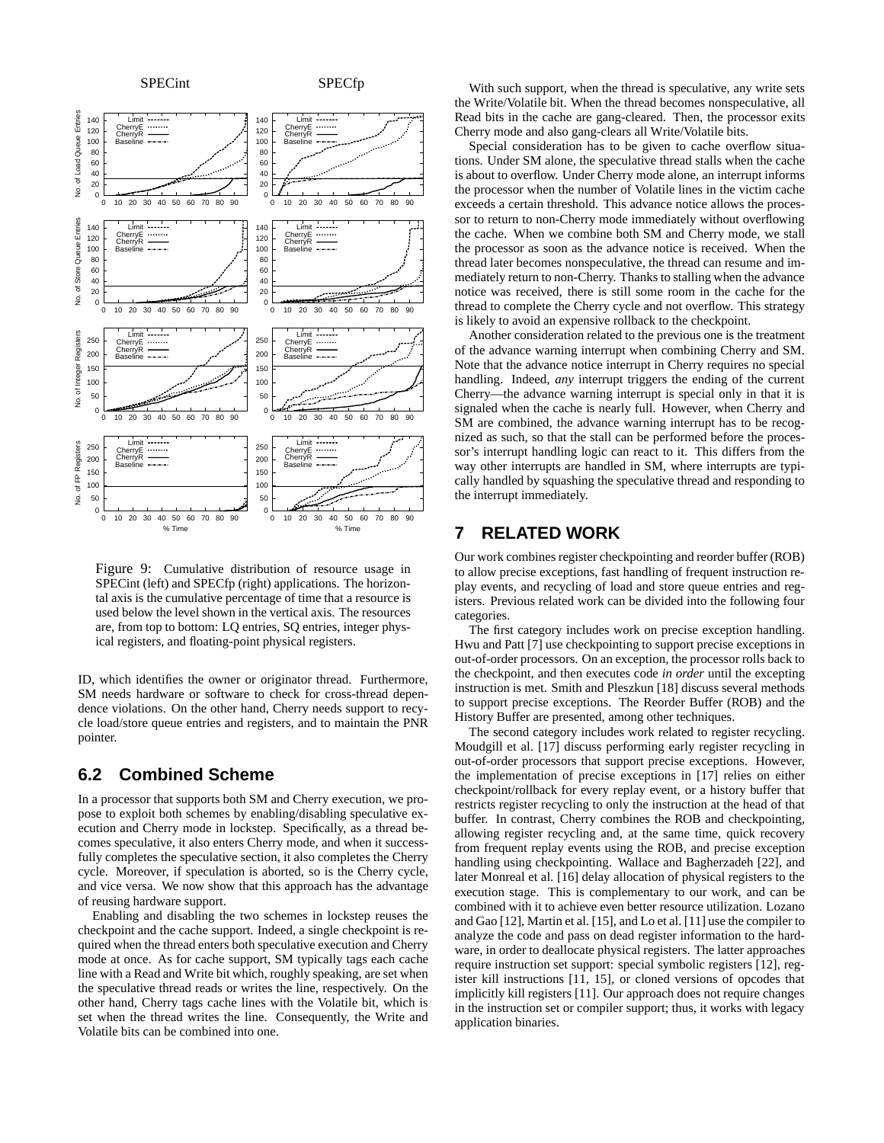

Figure 9: Cumulative distribution of resource usage in SPECint (left) and SPECfp (right) applications. The horizontal axis is the cumulative percentage of time that a resource is used below the level shown in the vertical axis. The resources are, from top to bottom: LQ entries, SQ entries, integer physical registers, and floating-point physical registers.

ID, which identifies the owner or originator thread. Furthermore, SM needs hardware or software to check for cross-thread dependence violations. On the other hand, Cherry needs support to recycle load/store queue entries and registers, and to maintain the PNR pointer.

### **6.2 Combined Scheme**

In a processor that supports both SM and Cherry execution, we propose to exploit both schemes by enabling/disabling speculative execution and Cherry mode in lockstep. Specifically, as a thread becomes speculative, it also enters Cherry mode, and when it successfully completes the speculative section, it also completes the Cherry cycle. Moreover, if speculation is aborted, so is the Cherry cycle, and vice versa. We now show that this approach has the advantage of reusing hardware support.

Enabling and disabling the two schemes in lockstep reuses the checkpoint and the cache support. Indeed, a single checkpoint is required when the thread enters both speculative execution and Cherry mode at once. As for cache support, SM typically tags each cache line with a Read and Write bit which, roughly speaking, are set when the speculative thread reads or writes the line, respectively. On the other hand, Cherry tags cache lines with the Volatile bit, which is set when the thread writes the line. Consequently, the Write and Volatile bits can be combined into one.

With such support, when the thread is speculative, any write sets the Write/Volatile bit. When the thread becomes nonspeculative, all Read bits in the cache are gang-cleared. Then, the processor exits Cherry mode and also gang-clears all Write/Volatile bits.

Special consideration has to be given to cache overflow situations. Under SM alone, the speculative thread stalls when the cache is about to overflow. Under Cherry mode alone, an interrupt informs the processor when the number of Volatile lines in the victim cache exceeds a certain threshold. This advance notice allows the processor to return to non-Cherry mode immediately without overflowing the cache. When we combine both SM and Cherry mode, we stall the processor as soon as the advance notice is received. When the thread later becomes nonspeculative, the thread can resume and immediately return to non-Cherry. Thanks to stalling when the advance notice was received, there is still some room in the cache for the thread to complete the Cherry cycle and not overflow. This strategy is likely to avoid an expensive rollback to the checkpoint.

Another consideration related to the previous one is the treatment of the advance warning interrupt when combining Cherry and SM. Note that the advance notice interrupt in Cherry requires no special handling. Indeed, *any* interrupt triggers the ending of the current Cherry—the advance warning interrupt is special only in that it is signaled when the cache is nearly full. However, when Cherry and SM are combined, the advance warning interrupt has to be recognized as such, so that the stall can be performed before the processor's interrupt handling logic can react to it. This differs from the way other interrupts are handled in SM, where interrupts are typically handled by squashing the speculative thread and responding to the interrupt immediately.

# **7 RELATED WORK**

Our work combines register checkpointing and reorder buffer (ROB) to allow precise exceptions, fast handling of frequent instruction replay events, and recycling of load and store queue entries and registers. Previous related work can be divided into the following four categories.

The first category includes work on precise exception handling. Hwu and Patt [7] use checkpointing to support precise exceptions in out-of-order processors. On an exception, the processor rolls back to the checkpoint, and then executes code *in order* until the excepting instruction is met. Smith and Pleszkun [18] discuss several methods to support precise exceptions. The Reorder Buffer (ROB) and the History Buffer are presented, among other techniques.

The second category includes work related to register recycling. Moudgill et al. [17] discuss performing early register recycling in out-of-order processors that support precise exceptions. However, the implementation of precise exceptions in [17] relies on either checkpoint/rollback for every replay event, or a history buffer that restricts register recycling to only the instruction at the head of that buffer. In contrast, Cherry combines the ROB and checkpointing, allowing register recycling and, at the same time, quick recovery from frequent replay events using the ROB, and precise exception handling using checkpointing. Wallace and Bagherzadeh [22], and later Monreal et al. [16] delay allocation of physical registers to the execution stage. This is complementary to our work, and can be combined with it to achieve even better resource utilization. Lozano and Gao [12], Martin et al. [15], and Lo et al. [11] use the compiler to analyze the code and pass on dead register information to the hardware, in order to deallocate physical registers. The latter approaches require instruction set support: special symbolic registers [12], register kill instructions [11, 15], or cloned versions of opcodes that implicitly kill registers [11]. Our approach does not require changes in the instruction set or compiler support; thus, it works with legacy application binaries.